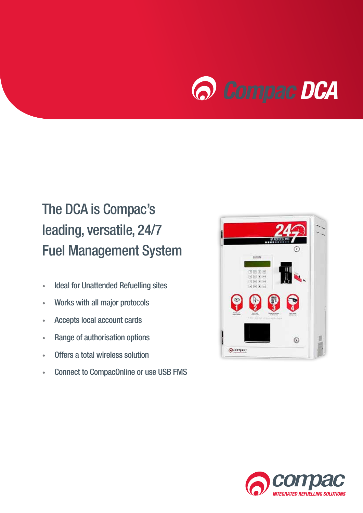

## The DCA is Compac's leading, versatile, 24/7 Fuel Management System

- Ideal for Unattended Refuelling sites
- Works with all major protocols
- Accepts local account cards
- Range of authorisation options
- Offers a total wireless solution
- Connect to CompacOnline or use USB FMS